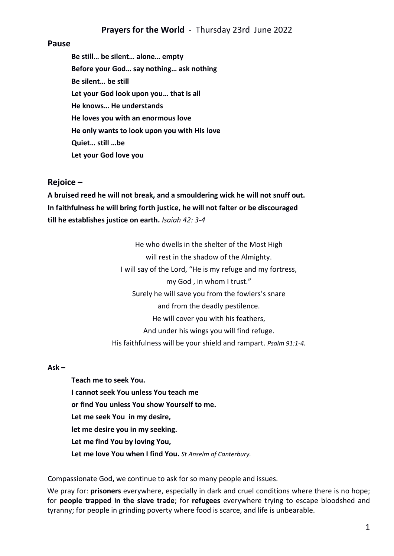## **Pause**

**Be still… be silent… alone… empty Before your God… say nothing… ask nothing Be silent… be still Let your God look upon you… that is all He knows… He understands He loves you with an enormous love He only wants to look upon you with His love Quiet… still …be Let your God love you**

## **Rejoice –**

**A bruised reed he will not break, and a smouldering wick he will not snuff out. In faithfulness he will bring forth justice, he will not falter or be discouraged till he establishes justice on earth.** *Isaiah 42: 3-4*

> He who dwells in the shelter of the Most High will rest in the shadow of the Almighty. I will say of the Lord, "He is my refuge and my fortress, my God , in whom I trust." Surely he will save you from the fowlers's snare and from the deadly pestilence. He will cover you with his feathers, And under his wings you will find refuge. His faithfulness will be your shield and rampart. *Psalm 91:1-4.*

## **Ask –**

**Teach me to seek You. I cannot seek You unless You teach me or find You unless You show Yourself to me. Let me seek You in my desire, let me desire you in my seeking. Let me find You by loving You, Let me love You when I find You.** *St Anselm of Canterbury.*

Compassionate God**,** we continue to ask for so many people and issues.

We pray for: **prisoners** everywhere, especially in dark and cruel conditions where there is no hope; for **people trapped in the slave trade**; for **refugees** everywhere trying to escape bloodshed and tyranny; for people in grinding poverty where food is scarce, and life is unbearable.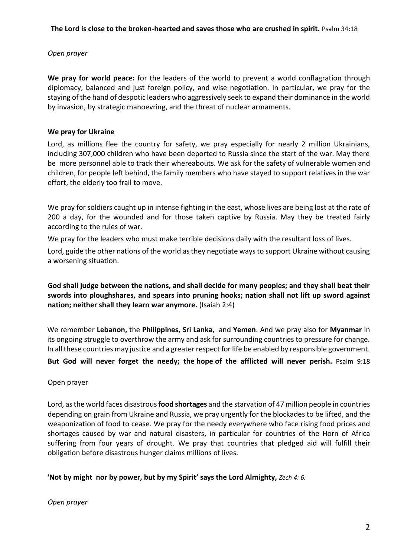## *Open prayer*

**We pray for world peace:** for the leaders of the world to prevent a world conflagration through diplomacy, balanced and just foreign policy, and wise negotiation. In particular, we pray for the staying of the hand of despotic leaders who aggressively seek to expand their dominance in the world by invasion, by strategic manoevring, and the threat of nuclear armaments.

## **We pray for Ukraine**

Lord, as millions flee the country for safety, we pray especially for nearly 2 million Ukrainians, including 307,000 children who have been deported to Russia since the start of the war. May there be more personnel able to track their whereabouts. We ask for the safety of vulnerable women and children, for people left behind, the family members who have stayed to support relatives in the war effort, the elderly too frail to move.

We pray for soldiers caught up in intense fighting in the east, whose lives are being lost at the rate of 200 a day, for the wounded and for those taken captive by Russia. May they be treated fairly according to the rules of war.

We pray for the leaders who must make terrible decisions daily with the resultant loss of lives.

Lord, guide the other nations of the world as they negotiate ways to support Ukraine without causing a worsening situation.

**God shall judge between the nations, and shall decide for many peoples; and they shall beat their swords into ploughshares, and spears into pruning hooks; nation shall not lift up sword against nation; neither shall they learn war anymore.** (Isaiah 2:4)

We remember **Lebanon,** the **Philippines, Sri Lanka,** and **Yemen**. And we pray also for **Myanmar** in its ongoing struggle to overthrow the army and ask for surrounding countries to pressure for change. In all these countries may justice and a greater respect for life be enabled by responsible government.

**But God will never forget the needy; the hope of the afflicted will never perish.** Psalm 9:18

#### Open prayer

Lord, as the world faces disastrous **food shortages** and the starvation of 47 million people in countries depending on grain from Ukraine and Russia, we pray urgently for the blockades to be lifted, and the weaponization of food to cease. We pray for the needy everywhere who face rising food prices and shortages caused by war and natural disasters, in particular for countries of the Horn of Africa suffering from four years of drought. We pray that countries that pledged aid will fulfill their obligation before disastrous hunger claims millions of lives.

**'Not by might nor by power, but by my Spirit' says the Lord Almighty,** *Zech 4: 6.*

#### *Open prayer*